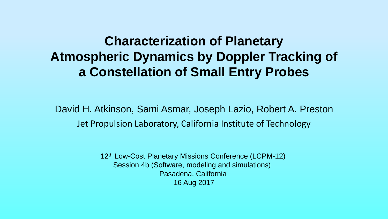#### **Characterization of Planetary Atmospheric Dynamics by Doppler Tracking of a Constellation of Small Entry Probes**

David H. Atkinson, Sami Asmar, Joseph Lazio, Robert A. Preston Jet Propulsion Laboratory, California Institute of Technology

> 12<sup>th</sup> Low-Cost Planetary Missions Conference (LCPM-12) Session 4b (Software, modeling and simulations) Pasadena, California 16 Aug 2017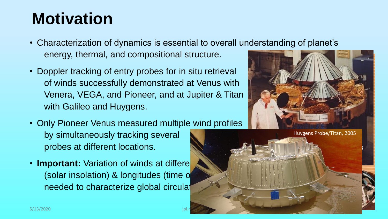### **Motivation**

- Characterization of dynamics is essential to overall understanding of planet's energy, thermal, and compositional structure.
- Doppler tracking of entry probes for in situ retrieval of winds successfully demonstrated at Venus with Venera, VEGA, and Pioneer, and at Jupiter & Titan with Galileo and Huygens.
- Only Pioneer Venus measured multiple wind profiles by simultaneously tracking several probes at different locations.
- **Important:** Variation of winds at differe (solar insolation) & longitudes (time o needed to characterize global circulat



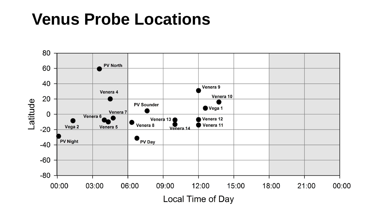#### **Venus Probe Locations**

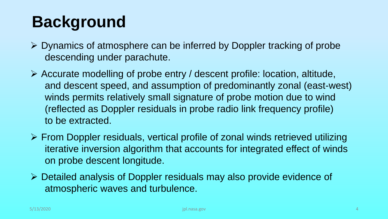# **Background**

- ➢ Dynamics of atmosphere can be inferred by Doppler tracking of probe descending under parachute.
- ➢ Accurate modelling of probe entry / descent profile: location, altitude, and descent speed, and assumption of predominantly zonal (east-west) winds permits relatively small signature of probe motion due to wind (reflected as Doppler residuals in probe radio link frequency profile) to be extracted.
- ➢ From Doppler residuals, vertical profile of zonal winds retrieved utilizing iterative inversion algorithm that accounts for integrated effect of winds on probe descent longitude.
- ➢ Detailed analysis of Doppler residuals may also provide evidence of atmospheric waves and turbulence.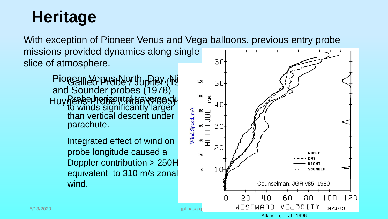# **Heritage**

With exception of Pioneer Venus and Vega balloons, previous entry probe missions provided dynamics along single GOslice of atmosphere.

Pionear Yepus North, Day, Ni and Sounder probes (1978) GallSG bA9ARO (APHEY (KG Probert prizontal traverse su to winds significantly larger than vertical descent under parachute. Huygens Probe ntahuggosy

> Integrated effect of wind on probe longitude caused a Doppler contribution > 250H equivalent to 310 m/s zonal wind.

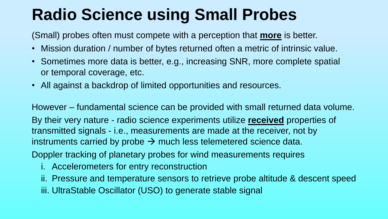# **Radio Science using Small Probes**

(Small) probes often must compete with a perception that **more** is better.

- Mission duration / number of bytes returned often a metric of intrinsic value.
- Sometimes more data is better, e.g., increasing SNR, more complete spatial or temporal coverage, etc.
- All against a backdrop of limited opportunities and resources.

However – fundamental science can be provided with small returned data volume. By their very nature - radio science experiments utilize **received** properties of transmitted signals - i.e., measurements are made at the receiver, not by instruments carried by probe  $\rightarrow$  much less telemetered science data.

Doppler tracking of planetary probes for wind measurements requires

- i. Accelerometers for entry reconstruction
- ii. Pressure and temperature sensors to retrieve probe altitude & descent speed
- iii. UltraStable Oscillator (USO) to generate stable signal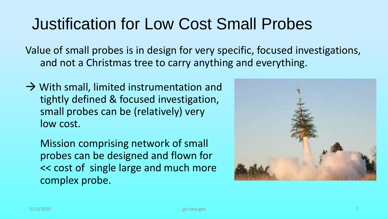## Justification for Low Cost Small Probes

Value of small probes is in design for very specific, focused investigations, and not a Christmas tree to carry anything and everything.

 $\rightarrow$  With small, limited instrumentation and tightly defined & focused investigation, small probes can be (relatively) very low cost.

Mission comprising network of small probes can be designed and flown for << cost of single large and much more complex probe.

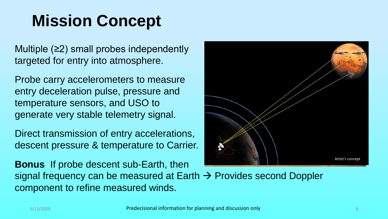# **Mission Concept**

Multiple (≥2) small probes independently targeted for entry into atmosphere.

Probe carry accelerometers to measure entry deceleration pulse, pressure and temperature sensors, and USO to generate very stable telemetry signal.

Direct transmission of entry accelerations, descent pressure & temperature to Carrier.

**Bonus** If probe descent sub-Earth, then signal frequency can be measured at Earth → Provides second Doppler component to refine measured winds.

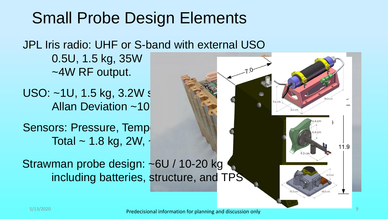#### Small Probe Design Elements

#### JPL Iris radio: UHF or S-band with external USO

0.5U, 1.5 kg, 35W ~4W RF output.

USO: ~1U, 1.5 kg, 3.2W s Allan Deviation ~10

Sensors: Pressure, Tempe Total  $\sim$  1.8 kg, 2W,  $\cdot$ 

Strawman probe design: ~6U / 10-20 kg including batteries, structure, and TPS

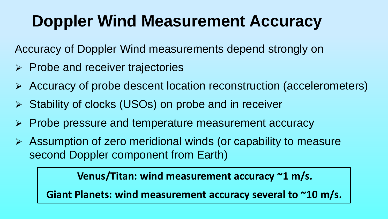# **Doppler Wind Measurement Accuracy**

Accuracy of Doppler Wind measurements depend strongly on

- ➢ Probe and receiver trajectories
- ➢ Accuracy of probe descent location reconstruction (accelerometers)
- ➢ Stability of clocks (USOs) on probe and in receiver
- ➢ Probe pressure and temperature measurement accuracy
- ➢ Assumption of zero meridional winds (or capability to measure second Doppler component from Earth)

**Venus/Titan: wind measurement accuracy ~1 m/s.**

**Giant Planets: wind measurement accuracy several to ~10 m/s.**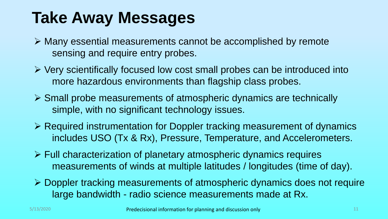### **Take Away Messages**

- ➢ Many essential measurements cannot be accomplished by remote sensing and require entry probes.
- ➢ Very scientifically focused low cost small probes can be introduced into more hazardous environments than flagship class probes.
- ➢ Small probe measurements of atmospheric dynamics are technically simple, with no significant technology issues.
- ➢ Required instrumentation for Doppler tracking measurement of dynamics includes USO (Tx & Rx), Pressure, Temperature, and Accelerometers.
- ➢ Full characterization of planetary atmospheric dynamics requires measurements of winds at multiple latitudes / longitudes (time of day).
- ➢ Doppler tracking measurements of atmospheric dynamics does not require large bandwidth - radio science measurements made at Rx.